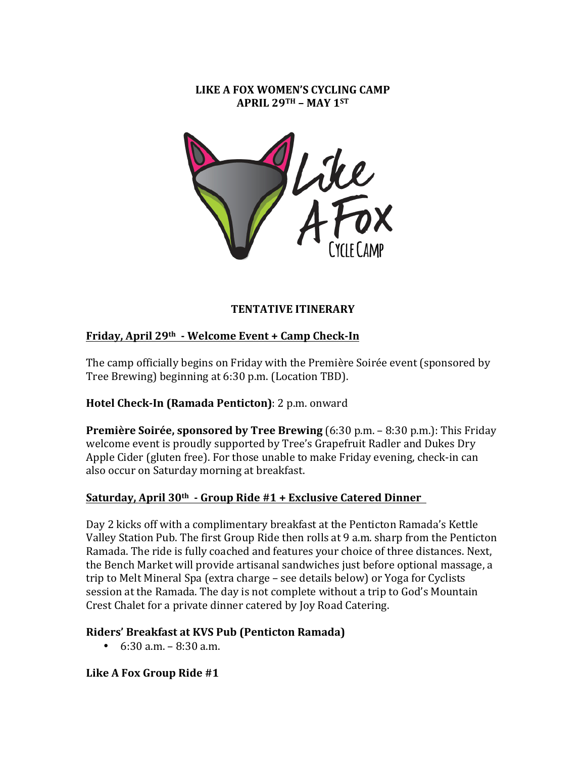#### **LIKE A FOX WOMEN'S CYCLING CAMP APRIL 29TH – MAY 1ST**



# **TENTATIVE ITINERARY**

# **Friday, April 29th - Welcome Event + Camp Check-In**

The camp officially begins on Friday with the Première Soirée event (sponsored by Tree Brewing) beginning at 6:30 p.m. (Location TBD).

# **Hotel Check-In (Ramada Penticton)**: 2 p.m. onward

**Première Soirée, sponsored by Tree Brewing** (6:30 p.m. – 8:30 p.m.): This Friday welcome event is proudly supported by Tree's Grapefruit Radler and Dukes Dry Apple Cider (gluten free). For those unable to make Friday evening, check-in can also occur on Saturday morning at breakfast.

### **Saturday, April 30th - Group Ride #1 + Exclusive Catered Dinner**

Day 2 kicks off with a complimentary breakfast at the Penticton Ramada's Kettle Valley Station Pub. The first Group Ride then rolls at 9 a.m. sharp from the Penticton Ramada. The ride is fully coached and features your choice of three distances. Next, the Bench Market will provide artisanal sandwiches just before optional massage, a trip to Melt Mineral Spa (extra charge – see details below) or Yoga for Cyclists session at the Ramada. The day is not complete without a trip to God's Mountain Crest Chalet for a private dinner catered by Joy Road Catering.

### **Riders' Breakfast at KVS Pub (Penticton Ramada)**

 $6:30$  a.m.  $-8:30$  a.m.

Like A Fox Group Ride #1